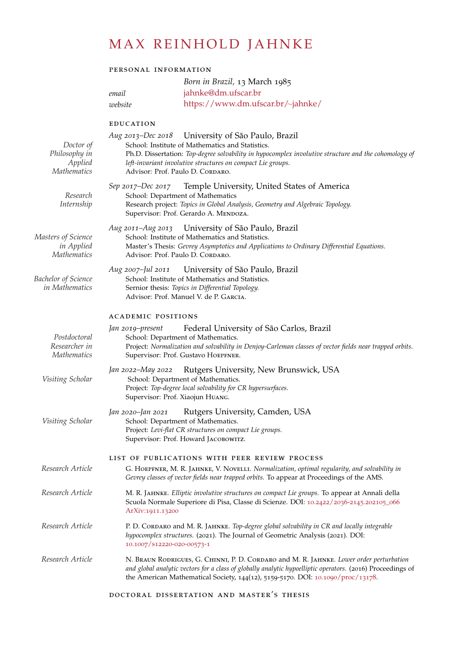# MAX REINHOLD JAHNKE

## personal information

# *Born in Brazil,* 13 March 1985 *email* [jahnke@dm.ufscar.br](mailto:jahnke@dm.ufscar.br)

*website* [https://www.dm.ufscar.br/](https://www.dm.ufscar.br/~jahnke/)∼jahnke/

#### education

| Doctor of<br>Philosophy in<br>Applied<br><b>Mathematics</b> | Aug 2013–Dec 2018 University of São Paulo, Brazil<br>School: Institute of Mathematics and Statistics.<br>Ph.D. Dissertation: Top-degree solvability in hypocomplex involutive structure and the cohomology of<br>left-invariant involutive structures on compact Lie groups.<br>Advisor: Prof. Paulo D. CORDARO. |
|-------------------------------------------------------------|------------------------------------------------------------------------------------------------------------------------------------------------------------------------------------------------------------------------------------------------------------------------------------------------------------------|
| Research<br>Internship                                      | Temple University, United States of America<br>Sep 2017–Dec 2017<br>School: Department of Mathematics<br>Research project: Topics in Global Analysis, Geometry and Algebraic Topology.<br>Supervisor: Prof. Gerardo A. MENDOZA.                                                                                  |
| Masters of Science<br>in Applied<br><b>Mathematics</b>      | Aug 2011-Aug 2013<br>University of São Paulo, Brazil<br>School: Institute of Mathematics and Statistics.<br>Master's Thesis: Gevrey Asymptotics and Applications to Ordinary Differential Equations.<br>Advisor: Prof. Paulo D. CORDARO.                                                                         |
| Bachelor of Science<br>in Mathematics                       | University of São Paulo, Brazil<br>Aug 2007–Jul 2011<br>School: Institute of Mathematics and Statistics.<br>Sernior thesis: Topics in Differential Topology.<br>Advisor: Prof. Manuel V. de P. GARCIA.                                                                                                           |
|                                                             | <b>ACADEMIC POSITIONS</b>                                                                                                                                                                                                                                                                                        |
| Postdoctoral<br>Researcher in<br><i>Mathematics</i>         | Federal University of São Carlos, Brazil<br>Jan 2019–present<br>School: Department of Mathematics.<br>Project: Normalization and solvability in Denjoy-Carleman classes of vector fields near trapped orbits.<br>Supervisor: Prof. Gustavo HOEPFNER.                                                             |
| Visiting Scholar                                            | Rutgers University, New Brunswick, USA<br>Jan 2022–May 2022<br>School: Department of Mathematics.<br>Project: Top-degree local solvability for CR hypersurfaces.<br>Supervisor: Prof. Xiaojun HUANG.                                                                                                             |
| Visiting Scholar                                            | Rutgers University, Camden, USA<br>Jan 2020–Jan 2021<br>School: Department of Mathematics.<br>Project: Levi-flat CR structures on compact Lie groups.<br>Supervisor: Prof. Howard JACOBOWITZ.                                                                                                                    |
| Research Article                                            | LIST OF PUBLICATIONS WITH PEER REVIEW PROCESS<br>G. HOEPFNER, M. R. JAHNKE, V. NOVELLI. Normalization, optimal regularity, and solvability in<br>Gevrey classes of vector fields near trapped orbits. To appear at Proceedings of the AMS.                                                                       |
| Research Article                                            | M. R. JAHNKE. Elliptic involutive structures on compact Lie groups. To appear at Annali della<br>Scuola Normale Superiore di Pisa, Classe di Scienze. DOI: 10.2422/2036-2145.202105_066<br>ArXiv:1911.13200                                                                                                      |
| Research Article                                            | P. D. CORDARO and M. R. JAHNKE. Top-degree global solvability in CR and locally integrable<br>hypocomplex structures. (2021). The Journal of Geometric Analysis (2021). DOI:<br>10.1007/S12220-020-00573-1                                                                                                       |
| Research Article                                            | N. BRAUN RODRIGUES, G. CHINNI, P. D. CORDARO and M. R. JAHNKE. Lower order perturbation<br>and global analytic vectors for a class of globally analytic hypoelliptic operators. (2016) Proceedings of<br>the American Mathematical Society, $144(12)$ , 5159-5170. DOI: 10.1090/proc/13178.                      |
|                                                             |                                                                                                                                                                                                                                                                                                                  |